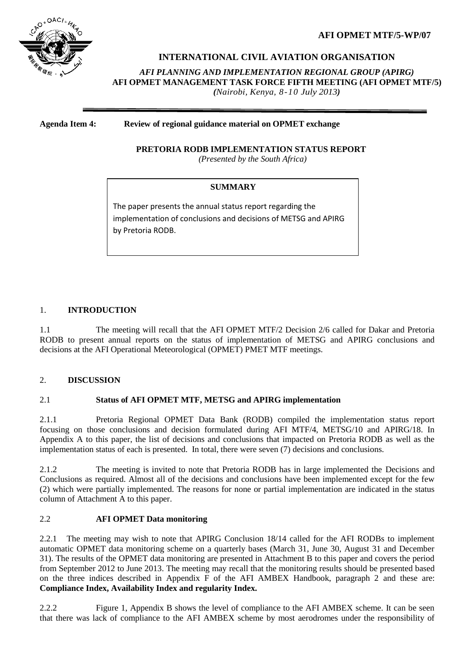**AFI OPMET MTF/5-WP/07**



## **INTERNATIONAL CIVIL AVIATION ORGANISATION**

*AFI PLANNING AND IMPLEMENTATION REGIONAL GROUP (APIRG)* **AFI OPMET MANAGEMENT TASK FORCE FIFTH MEETING (AFI OPMET MTF/5)**

*(Nairobi, Kenya, 8-10 July 2013)*

#### **Agenda Item 4: Review of regional guidance material on OPMET exchange**

## **PRETORIA RODB IMPLEMENTATION STATUS REPORT**

*(Presented by the South Africa)*

## **SUMMARY**

The paper presents the annual status report regarding the implementation of conclusions and decisions of METSG and APIRG by Pretoria RODB.

## 1. **INTRODUCTION**

1.1 The meeting will recall that the AFI OPMET MTF/2 Decision 2/6 called for Dakar and Pretoria RODB to present annual reports on the status of implementation of METSG and APIRG conclusions and decisions at the AFI Operational Meteorological (OPMET) PMET MTF meetings.

#### 2. **DISCUSSION**

## 2.1 **Status of AFI OPMET MTF, METSG and APIRG implementation**

2.1.1 Pretoria Regional OPMET Data Bank (RODB) compiled the implementation status report focusing on those conclusions and decision formulated during AFI MTF/4, METSG/10 and APIRG/18. In Appendix A to this paper, the list of decisions and conclusions that impacted on Pretoria RODB as well as the implementation status of each is presented. In total, there were seven (7) decisions and conclusions.

2.1.2 The meeting is invited to note that Pretoria RODB has in large implemented the Decisions and Conclusions as required. Almost all of the decisions and conclusions have been implemented except for the few (2) which were partially implemented. The reasons for none or partial implementation are indicated in the status column of Attachment A to this paper.

## 2.2 **AFI OPMET Data monitoring**

2.2.1 The meeting may wish to note that APIRG Conclusion 18/14 called for the AFI RODBs to implement automatic OPMET data monitoring scheme on a quarterly bases (March 31, June 30, August 31 and December 31). The results of the OPMET data monitoring are presented in Attachment B to this paper and covers the period from September 2012 to June 2013. The meeting may recall that the monitoring results should be presented based on the three indices described in Appendix F of the AFI AMBEX Handbook, paragraph 2 and these are: **Compliance Index, Availability Index and regularity Index.** 

2.2.2 Figure 1, Appendix B shows the level of compliance to the AFI AMBEX scheme. It can be seen that there was lack of compliance to the AFI AMBEX scheme by most aerodromes under the responsibility of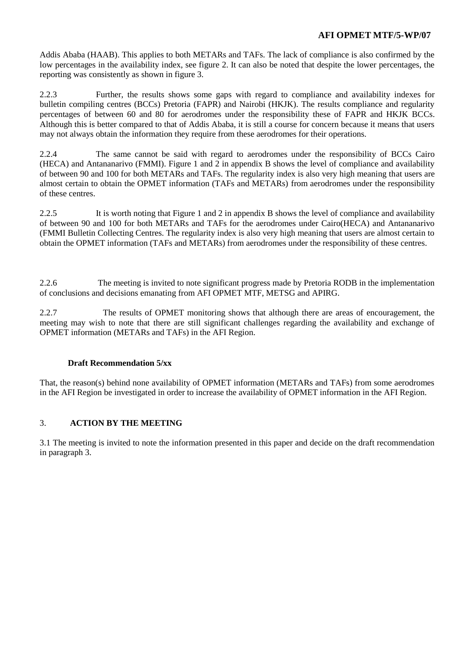## **AFI OPMET MTF/5-WP/07**

Addis Ababa (HAAB). This applies to both METARs and TAFs. The lack of compliance is also confirmed by the low percentages in the availability index, see figure 2. It can also be noted that despite the lower percentages, the reporting was consistently as shown in figure 3.

2.2.3 Further, the results shows some gaps with regard to compliance and availability indexes for bulletin compiling centres (BCCs) Pretoria (FAPR) and Nairobi (HKJK). The results compliance and regularity percentages of between 60 and 80 for aerodromes under the responsibility these of FAPR and HKJK BCCs. Although this is better compared to that of Addis Ababa, it is still a course for concern because it means that users may not always obtain the information they require from these aerodromes for their operations.

2.2.4 The same cannot be said with regard to aerodromes under the responsibility of BCCs Cairo (HECA) and Antananarivo (FMMI). Figure 1 and 2 in appendix B shows the level of compliance and availability of between 90 and 100 for both METARs and TAFs. The regularity index is also very high meaning that users are almost certain to obtain the OPMET information (TAFs and METARs) from aerodromes under the responsibility of these centres.

2.2.5 It is worth noting that Figure 1 and 2 in appendix B shows the level of compliance and availability of between 90 and 100 for both METARs and TAFs for the aerodromes under Cairo(HECA) and Antananarivo (FMMI Bulletin Collecting Centres. The regularity index is also very high meaning that users are almost certain to obtain the OPMET information (TAFs and METARs) from aerodromes under the responsibility of these centres.

2.2.6 The meeting is invited to note significant progress made by Pretoria RODB in the implementation of conclusions and decisions emanating from AFI OPMET MTF, METSG and APIRG.

2.2.7 The results of OPMET monitoring shows that although there are areas of encouragement, the meeting may wish to note that there are still significant challenges regarding the availability and exchange of OPMET information (METARs and TAFs) in the AFI Region.

## **Draft Recommendation 5/xx**

That, the reason(s) behind none availability of OPMET information (METARs and TAFs) from some aerodromes in the AFI Region be investigated in order to increase the availability of OPMET information in the AFI Region.

## 3. **ACTION BY THE MEETING**

3.1 The meeting is invited to note the information presented in this paper and decide on the draft recommendation in paragraph 3.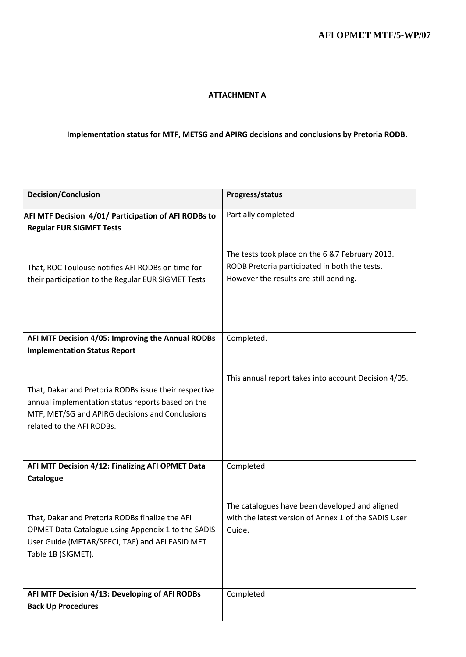#### **ATTACHMENT A**

# **Implementation status for MTF, METSG and APIRG decisions and conclusions by Pretoria RODB.**

| <b>Decision/Conclusion</b>                                                                                                                                                                 | Progress/status                                                                                                                            |
|--------------------------------------------------------------------------------------------------------------------------------------------------------------------------------------------|--------------------------------------------------------------------------------------------------------------------------------------------|
| AFI MTF Decision 4/01/ Participation of AFI RODBs to<br><b>Regular EUR SIGMET Tests</b>                                                                                                    | Partially completed                                                                                                                        |
| That, ROC Toulouse notifies AFI RODBs on time for<br>their participation to the Regular EUR SIGMET Tests                                                                                   | The tests took place on the 6 &7 February 2013.<br>RODB Pretoria participated in both the tests.<br>However the results are still pending. |
| AFI MTF Decision 4/05: Improving the Annual RODBs<br><b>Implementation Status Report</b>                                                                                                   | Completed.                                                                                                                                 |
| That, Dakar and Pretoria RODBs issue their respective<br>annual implementation status reports based on the<br>MTF, MET/SG and APIRG decisions and Conclusions<br>related to the AFI RODBs. | This annual report takes into account Decision 4/05.                                                                                       |
| AFI MTF Decision 4/12: Finalizing AFI OPMET Data<br>Catalogue                                                                                                                              | Completed                                                                                                                                  |
| That, Dakar and Pretoria RODBs finalize the AFI<br>OPMET Data Catalogue using Appendix 1 to the SADIS<br>User Guide (METAR/SPECI, TAF) and AFI FASID MET<br>Table 1B (SIGMET).             | The catalogues have been developed and aligned<br>with the latest version of Annex 1 of the SADIS User<br>Guide.                           |
| AFI MTF Decision 4/13: Developing of AFI RODBs<br><b>Back Up Procedures</b>                                                                                                                | Completed                                                                                                                                  |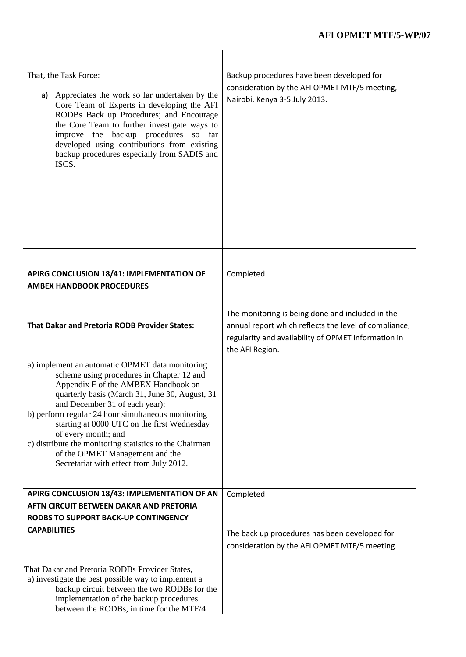| That, the Task Force:<br>Appreciates the work so far undertaken by the<br>a)<br>Core Team of Experts in developing the AFI<br>RODBs Back up Procedures; and Encourage<br>the Core Team to further investigate ways to<br>improve the backup procedures so far<br>developed using contributions from existing<br>backup procedures especially from SADIS and<br>ISCS.                                                                                                                         | Backup procedures have been developed for<br>consideration by the AFI OPMET MTF/5 meeting,<br>Nairobi, Kenya 3-5 July 2013.                                                         |
|----------------------------------------------------------------------------------------------------------------------------------------------------------------------------------------------------------------------------------------------------------------------------------------------------------------------------------------------------------------------------------------------------------------------------------------------------------------------------------------------|-------------------------------------------------------------------------------------------------------------------------------------------------------------------------------------|
| APIRG CONCLUSION 18/41: IMPLEMENTATION OF<br><b>AMBEX HANDBOOK PROCEDURES</b>                                                                                                                                                                                                                                                                                                                                                                                                                | Completed                                                                                                                                                                           |
| <b>That Dakar and Pretoria RODB Provider States:</b>                                                                                                                                                                                                                                                                                                                                                                                                                                         | The monitoring is being done and included in the<br>annual report which reflects the level of compliance,<br>regularity and availability of OPMET information in<br>the AFI Region. |
| a) implement an automatic OPMET data monitoring<br>scheme using procedures in Chapter 12 and<br>Appendix F of the AMBEX Handbook on<br>quarterly basis (March 31, June 30, August, 31<br>and December 31 of each year);<br>b) perform regular 24 hour simultaneous monitoring<br>starting at 0000 UTC on the first Wednesday<br>of every month; and<br>c) distribute the monitoring statistics to the Chairman<br>of the OPMET Management and the<br>Secretariat with effect from July 2012. |                                                                                                                                                                                     |
| APIRG CONCLUSION 18/43: IMPLEMENTATION OF AN                                                                                                                                                                                                                                                                                                                                                                                                                                                 | Completed                                                                                                                                                                           |
| AFTN CIRCUIT BETWEEN DAKAR AND PRETORIA                                                                                                                                                                                                                                                                                                                                                                                                                                                      |                                                                                                                                                                                     |
| <b>RODBS TO SUPPORT BACK-UP CONTINGENCY</b>                                                                                                                                                                                                                                                                                                                                                                                                                                                  |                                                                                                                                                                                     |
| <b>CAPABILITIES</b>                                                                                                                                                                                                                                                                                                                                                                                                                                                                          | The back up procedures has been developed for<br>consideration by the AFI OPMET MTF/5 meeting.                                                                                      |
| That Dakar and Pretoria RODBs Provider States,<br>a) investigate the best possible way to implement a<br>backup circuit between the two RODBs for the<br>implementation of the backup procedures<br>between the RODBs, in time for the MTF/4                                                                                                                                                                                                                                                 |                                                                                                                                                                                     |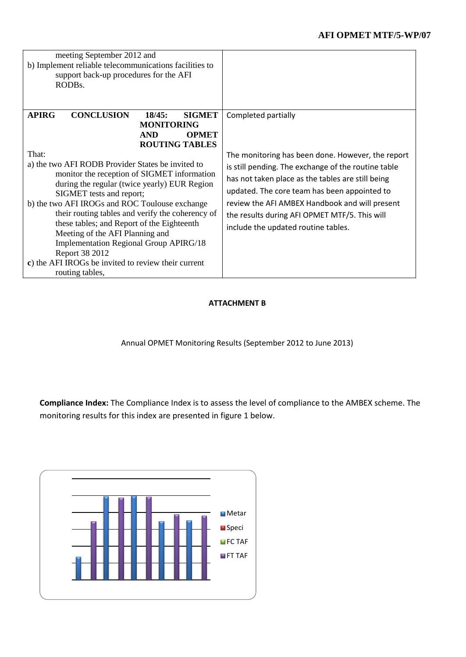| meeting September 2012 and<br>b) Implement reliable telecommunications facilities to<br>support back-up procedures for the AFI<br>RODB <sub>s</sub> .                                                                                                                                                                                                                                                                                                                                                                                                                                                                                                                 |                                                                                                                                                                                                                                                                                                                                                                                |
|-----------------------------------------------------------------------------------------------------------------------------------------------------------------------------------------------------------------------------------------------------------------------------------------------------------------------------------------------------------------------------------------------------------------------------------------------------------------------------------------------------------------------------------------------------------------------------------------------------------------------------------------------------------------------|--------------------------------------------------------------------------------------------------------------------------------------------------------------------------------------------------------------------------------------------------------------------------------------------------------------------------------------------------------------------------------|
| <b>APIRG</b><br><b>CONCLUSION</b><br>18/45:<br><b>SIGMET</b><br><b>MONITORING</b><br><b>AND</b><br><b>OPMET</b><br><b>ROUTING TABLES</b><br>That:<br>a) the two AFI RODB Provider States be invited to<br>monitor the reception of SIGMET information<br>during the regular (twice yearly) EUR Region<br>SIGMET tests and report;<br>b) the two AFI IROGs and ROC Toulouse exchange<br>their routing tables and verify the coherency of<br>these tables; and Report of the Eighteenth<br>Meeting of the AFI Planning and<br><b>Implementation Regional Group APIRG/18</b><br>Report 38 2012<br>c) the AFI IROGs be invited to review their current<br>routing tables, | Completed partially<br>The monitoring has been done. However, the report<br>is still pending. The exchange of the routine table<br>has not taken place as the tables are still being<br>updated. The core team has been appointed to<br>review the AFI AMBEX Handbook and will present<br>the results during AFI OPMET MTF/5. This will<br>include the updated routine tables. |

## **ATTACHMENT B**

Annual OPMET Monitoring Results (September 2012 to June 2013)

**Compliance Index:** The Compliance Index is to assess the level of compliance to the AMBEX scheme. The monitoring results for this index are presented in figure 1 below.

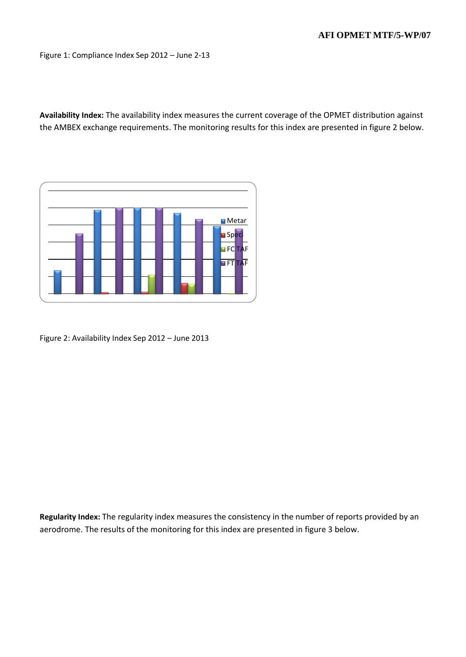Figure 1: Compliance Index Sep 2012 – June 2-13

**Availability Index:** The availability index measures the current coverage of the OPMET distribution against the AMBEX exchange requirements. The monitoring results for this index are presented in figure 2 below.



Figure 2: Availability Index Sep 2012 – June 2013

**Regularity Index:** The regularity index measures the consistency in the number of reports provided by an aerodrome. The results of the monitoring for this index are presented in figure 3 below.